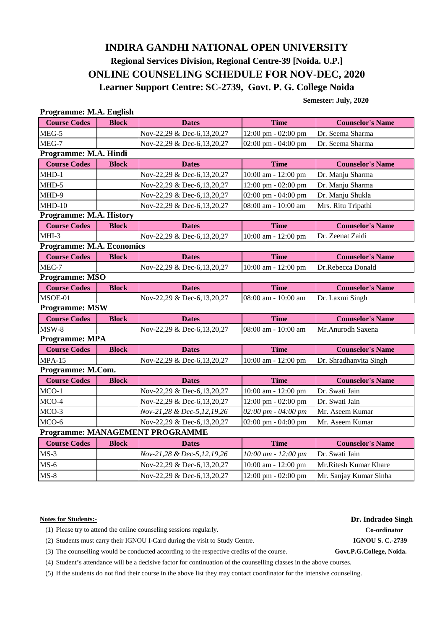# **INDIRA GANDHI NATIONAL OPEN UNIVERSITY ONLINE COUNSELING SCHEDULE FOR NOV-DEC, 2020 Learner Support Centre: SC-2739, Govt. P. G. College Noida Regional Services Division, Regional Centre-39 [Noida. U.P.]**

 **Semester: July, 2020**

| Programme: M.A. English          |              |                                 |                                       |                         |
|----------------------------------|--------------|---------------------------------|---------------------------------------|-------------------------|
| <b>Course Codes</b>              | <b>Block</b> | <b>Dates</b>                    | <b>Time</b>                           | <b>Counselor's Name</b> |
| MEG-5                            |              | Nov-22,29 & Dec-6,13,20,27      | 12:00 pm - 02:00 pm                   | Dr. Seema Sharma        |
| MEG-7                            |              | Nov-22,29 & Dec-6,13,20,27      | 02:00 pm - 04:00 pm                   | Dr. Seema Sharma        |
| Programme: M.A. Hindi            |              |                                 |                                       |                         |
| <b>Course Codes</b>              | <b>Block</b> | <b>Dates</b>                    | <b>Time</b>                           | <b>Counselor's Name</b> |
| $MHD-1$                          |              | Nov-22,29 & Dec-6,13,20,27      | 10:00 am - 12:00 pm                   | Dr. Manju Sharma        |
| $MHD-5$                          |              | Nov-22,29 & Dec-6,13,20,27      | 12:00 pm - 02:00 pm                   | Dr. Manju Sharma        |
| MHD-9                            |              | Nov-22,29 & Dec-6,13,20,27      | 02:00 pm - 04:00 pm                   | Dr. Manju Shukla        |
| $MHD-10$                         |              | Nov-22,29 & Dec-6,13,20,27      | 08:00 am - 10:00 am                   | Mrs. Ritu Tripathi      |
| Programme: M.A. History          |              |                                 |                                       |                         |
| <b>Course Codes</b>              | <b>Block</b> | <b>Dates</b>                    | <b>Time</b>                           | <b>Counselor's Name</b> |
| MHI-3                            |              | Nov-22,29 & Dec-6,13,20,27      | 10:00 am - 12:00 pm                   | Dr. Zeenat Zaidi        |
| <b>Programme: M.A. Economics</b> |              |                                 |                                       |                         |
| <b>Course Codes</b>              | <b>Block</b> | <b>Dates</b>                    | <b>Time</b>                           | <b>Counselor's Name</b> |
| MEC-7                            |              | Nov-22,29 & Dec-6,13,20,27      | 10:00 am - 12:00 pm                   | Dr.Rebecca Donald       |
| Programme: MSO                   |              |                                 |                                       |                         |
| <b>Course Codes</b>              | <b>Block</b> | <b>Dates</b>                    | <b>Time</b>                           | <b>Counselor's Name</b> |
| MSOE-01                          |              | Nov-22,29 & Dec-6,13,20,27      | 08:00 am - 10:00 am                   | Dr. Laxmi Singh         |
| <b>Programme: MSW</b>            |              |                                 |                                       |                         |
| <b>Course Codes</b>              | <b>Block</b> | <b>Dates</b>                    | <b>Time</b>                           | <b>Counselor's Name</b> |
| $MSW-8$                          |              | Nov-22,29 & Dec-6,13,20,27      | 08:00 am - 10:00 am                   | Mr.Anurodh Saxena       |
| <b>Programme: MPA</b>            |              |                                 |                                       |                         |
| <b>Course Codes</b>              | <b>Block</b> | <b>Dates</b>                    | <b>Time</b>                           | <b>Counselor's Name</b> |
| $MPA-15$                         |              | Nov-22,29 & Dec-6,13,20,27      | 10:00 am - 12:00 pm                   | Dr. Shradhanvita Singh  |
| Programme: M.Com.                |              |                                 |                                       |                         |
| <b>Course Codes</b>              | <b>Block</b> | <b>Dates</b>                    | <b>Time</b>                           | <b>Counselor's Name</b> |
| $MCO-1$                          |              | Nov-22,29 & Dec-6,13,20,27      | 10:00 am - 12:00 pm                   | Dr. Swati Jain          |
| MCO-4                            |              | Nov-22,29 & Dec-6,13,20,27      | 12:00 pm - 02:00 pm                   | Dr. Swati Jain          |
| MCO-3                            |              | Nov-21,28 & Dec-5,12,19,26      | 02:00 pm - 04:00 pm                   | Mr. Aseem Kumar         |
| MCO-6                            |              | Nov-22,29 & Dec-6,13,20,27      | $02:00 \text{ pm} - 04:00 \text{ pm}$ | Mr. Aseem Kumar         |
|                                  |              | Programme: MANAGEMENT PROGRAMME |                                       |                         |
| <b>Course Codes</b>              | <b>Block</b> | <b>Dates</b>                    | <b>Time</b>                           | <b>Counselor's Name</b> |
| $MS-3$                           |              | Nov-21,28 & Dec-5,12,19,26      | 10:00 am - 12:00 pm                   | Dr. Swati Jain          |
| $MS-6$                           |              | Nov-22,29 & Dec-6,13,20,27      | 10:00 am - 12:00 pm                   | Mr.Ritesh Kumar Khare   |
| $MS-8$                           |              | Nov-22,29 & Dec-6,13,20,27      | 12:00 pm - 02:00 pm                   | Mr. Sanjay Kumar Sinha  |

## **Notes for Students:- Dr. Indradeo Singh**

- (1) Please try to attend the online counseling sessions regularly. **Co-ordinator**
- (2) Students must carry their IGNOU I-Card during the visit to Study Centre. **IGNOU S. C.-2739**
- (3) The counselling would be conducted according to the respective credits of the course. **Govt.P.G.College, Noida.**
- (4) Student's attendance will be a decisive factor for continuation of the counselling classes in the above courses.
- (5) If the students do not find their course in the above list they may contact coordinator for the intensive counseling.